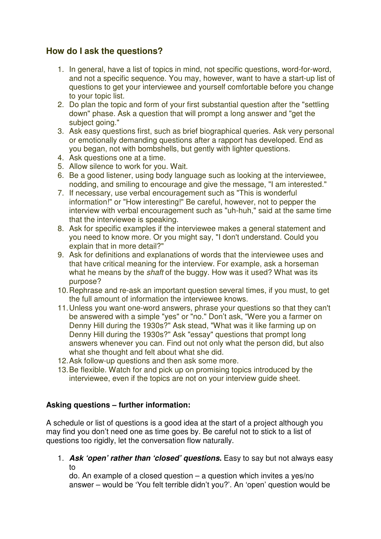## **How do I ask the questions?**

- 1. In general, have a list of topics in mind, not specific questions, word-for-word, and not a specific sequence. You may, however, want to have a start-up list of questions to get your interviewee and yourself comfortable before you change to your topic list.
- 2. Do plan the topic and form of your first substantial question after the "settling down" phase. Ask a question that will prompt a long answer and "get the subject going."
- 3. Ask easy questions first, such as brief biographical queries. Ask very personal or emotionally demanding questions after a rapport has developed. End as you began, not with bombshells, but gently with lighter questions.
- 4. Ask questions one at a time.
- 5. Allow silence to work for you. Wait.
- 6. Be a good listener, using body language such as looking at the interviewee, nodding, and smiling to encourage and give the message, "I am interested."
- 7. If necessary, use verbal encouragement such as "This is wonderful information!" or "How interesting!" Be careful, however, not to pepper the interview with verbal encouragement such as "uh-huh," said at the same time that the interviewee is speaking.
- 8. Ask for specific examples if the interviewee makes a general statement and you need to know more. Or you might say, "I don't understand. Could you explain that in more detail?"
- 9. Ask for definitions and explanations of words that the interviewee uses and that have critical meaning for the interview. For example, ask a horseman what he means by the *shaft* of the buggy. How was it used? What was its purpose?
- 10. Rephrase and re-ask an important question several times, if you must, to get the full amount of information the interviewee knows.
- 11. Unless you want one-word answers, phrase your questions so that they can't be answered with a simple "yes" or "no." Don't ask, "Were you a farmer on Denny Hill during the 1930s?" Ask stead, "What was it like farming up on Denny Hill during the 1930s?" Ask "essay" questions that prompt long answers whenever you can. Find out not only what the person did, but also what she thought and felt about what she did.
- 12. Ask follow-up questions and then ask some more.
- 13. Be flexible. Watch for and pick up on promising topics introduced by the interviewee, even if the topics are not on your interview guide sheet.

## **Asking questions – further information:**

A schedule or list of questions is a good idea at the start of a project although you may find you don't need one as time goes by. Be careful not to stick to a list of questions too rigidly, let the conversation flow naturally.

1. **Ask 'open' rather than 'closed' questions.** Easy to say but not always easy to

do. An example of a closed question – a question which invites a yes/no answer – would be 'You felt terrible didn't you?'. An 'open' question would be